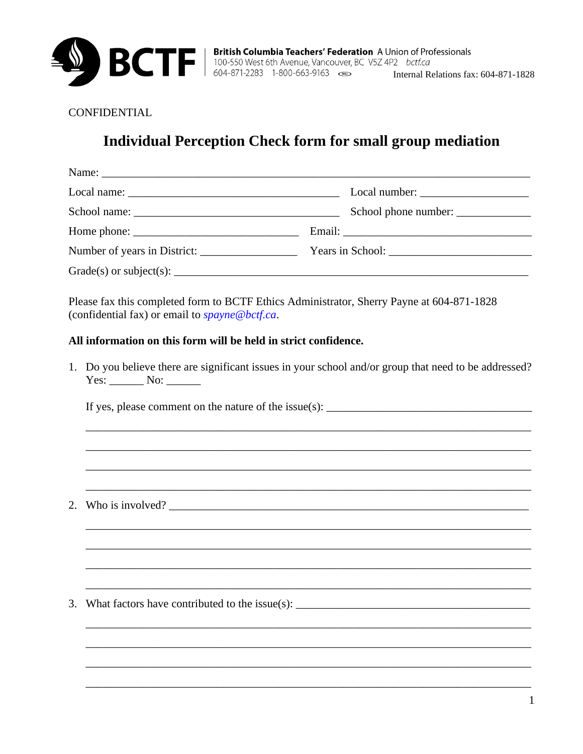

CONFIDENTIAL

## **Individual Perception Check form for small group mediation**

| $Local name: ____________$ | $Local number: \_\_\_\_\_\_\_\_\_\_\_\_\_\_\_\_\_\_\_\_\_\_\_\_\_\_\_\_\_\_\_\_$ |  |
|----------------------------|----------------------------------------------------------------------------------|--|
|                            | School phone number:                                                             |  |
|                            |                                                                                  |  |
|                            |                                                                                  |  |
|                            |                                                                                  |  |

Please fax this completed form to BCTF Ethics Administrator, Sherry Payne at 604-871-1828 (confidential fax) or email to spayne@bctf.ca.

## All information on this form will be held in strict confidence.

1. Do you believe there are significant issues in your school and/or group that need to be addressed?  $Yes: \_\_\_\$  No: \\_\\_\\_\\_\

2. Who is involved?  $\frac{1}{\sqrt{1-\frac{1}{\sqrt{1-\frac{1}{\sqrt{1-\frac{1}{\sqrt{1-\frac{1}{\sqrt{1-\frac{1}{\sqrt{1-\frac{1}{\sqrt{1-\frac{1}{\sqrt{1-\frac{1}{\sqrt{1-\frac{1}{\sqrt{1-\frac{1}{\sqrt{1-\frac{1}{\sqrt{1-\frac{1}{\sqrt{1-\frac{1}{\sqrt{1-\frac{1}{\sqrt{1-\frac{1}{\sqrt{1-\frac{1}{\sqrt{1-\frac{1}{\sqrt{1-\frac{1}{\sqrt{1-\frac{1}{\sqrt{1-\frac{1}{\sqrt{1-\frac{1}{\sqrt{1-\frac$